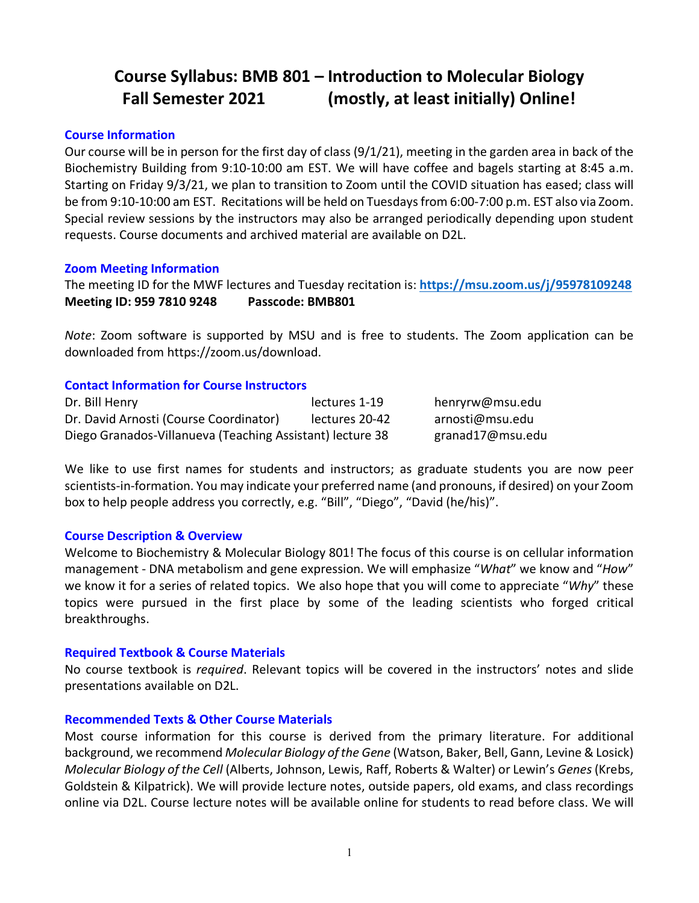# **Course Syllabus: BMB 801 – Introduction to Molecular Biology Fall Semester 2021 (mostly, at least initially) Online!**

#### **Course Information**

Our course will be in person for the first day of class (9/1/21), meeting in the garden area in back of the Biochemistry Building from 9:10-10:00 am EST. We will have coffee and bagels starting at 8:45 a.m. Starting on Friday 9/3/21, we plan to transition to Zoom until the COVID situation has eased; class will be from 9:10-10:00 am EST. Recitations will be held on Tuesdays from 6:00-7:00 p.m. EST also via Zoom. Special review sessions by the instructors may also be arranged periodically depending upon student requests. Course documents and archived material are available on D2L.

#### **Zoom Meeting Information**

The meeting ID for the MWF lectures and Tuesday recitation is: **https://msu.zoom.us/j/95978109248 Meeting ID: 959 7810 9248 Passcode: BMB801**

*Note*: Zoom software is supported by MSU and is free to students. The Zoom application can be downloaded from https://zoom.us/download.

#### **Contact Information for Course Instructors**

| Dr. Bill Henry                                            | lectures 1-19  | henryrw@msu.edu  |
|-----------------------------------------------------------|----------------|------------------|
| Dr. David Arnosti (Course Coordinator)                    | lectures 20-42 | arnosti@msu.edu  |
| Diego Granados-Villanueva (Teaching Assistant) lecture 38 |                | granad17@msu.edu |

We like to use first names for students and instructors; as graduate students you are now peer scientists-in-formation. You may indicate your preferred name (and pronouns, if desired) on your Zoom box to help people address you correctly, e.g. "Bill", "Diego", "David (he/his)".

#### **Course Description & Overview**

Welcome to Biochemistry & Molecular Biology 801! The focus of this course is on cellular information management - DNA metabolism and gene expression. We will emphasize "*What*" we know and "*How*" we know it for a series of related topics. We also hope that you will come to appreciate "*Why*" these topics were pursued in the first place by some of the leading scientists who forged critical breakthroughs.

#### **Required Textbook & Course Materials**

No course textbook is *required*. Relevant topics will be covered in the instructors' notes and slide presentations available on D2L.

#### **Recommended Texts & Other Course Materials**

Most course information for this course is derived from the primary literature. For additional background, we recommend *Molecular Biology of the Gene* (Watson, Baker, Bell, Gann, Levine & Losick) *Molecular Biology of the Cell* (Alberts, Johnson, Lewis, Raff, Roberts & Walter) or Lewin's *Genes*(Krebs, Goldstein & Kilpatrick). We will provide lecture notes, outside papers, old exams, and class recordings online via D2L. Course lecture notes will be available online for students to read before class. We will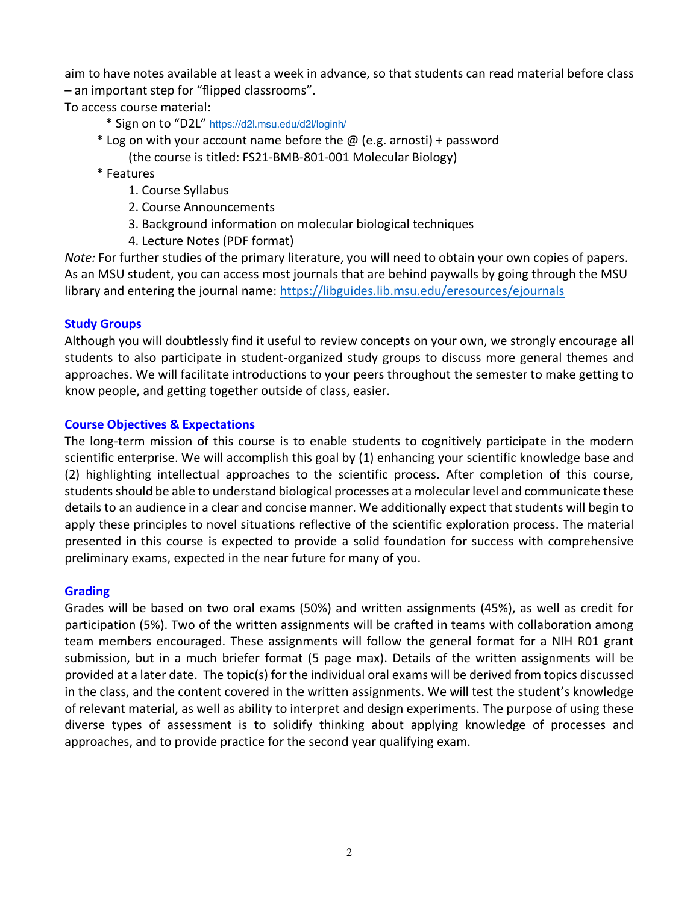aim to have notes available at least a week in advance, so that students can read material before class – an important step for "flipped classrooms".

To access course material:

- \* Sign on to "D2L" https://d2l.msu.edu/d2l/loginh/
- $*$  Log on with your account name before the  $\omega$  (e.g. arnosti) + password (the course is titled: FS21-BMB-801-001 Molecular Biology)
- \* Features
	- 1. Course Syllabus
	- 2. Course Announcements
	- 3. Background information on molecular biological techniques
	- 4. Lecture Notes (PDF format)

*Note:* For further studies of the primary literature, you will need to obtain your own copies of papers. As an MSU student, you can access most journals that are behind paywalls by going through the MSU library and entering the journal name: https://libguides.lib.msu.edu/eresources/ejournals

## **Study Groups**

Although you will doubtlessly find it useful to review concepts on your own, we strongly encourage all students to also participate in student-organized study groups to discuss more general themes and approaches. We will facilitate introductions to your peers throughout the semester to make getting to know people, and getting together outside of class, easier.

## **Course Objectives & Expectations**

The long-term mission of this course is to enable students to cognitively participate in the modern scientific enterprise. We will accomplish this goal by (1) enhancing your scientific knowledge base and (2) highlighting intellectual approaches to the scientific process. After completion of this course, students should be able to understand biological processes at a molecular level and communicate these details to an audience in a clear and concise manner. We additionally expect that students will begin to apply these principles to novel situations reflective of the scientific exploration process. The material presented in this course is expected to provide a solid foundation for success with comprehensive preliminary exams, expected in the near future for many of you.

## **Grading**

Grades will be based on two oral exams (50%) and written assignments (45%), as well as credit for participation (5%). Two of the written assignments will be crafted in teams with collaboration among team members encouraged. These assignments will follow the general format for a NIH R01 grant submission, but in a much briefer format (5 page max). Details of the written assignments will be provided at a later date. The topic(s) for the individual oral exams will be derived from topics discussed in the class, and the content covered in the written assignments. We will test the student's knowledge of relevant material, as well as ability to interpret and design experiments. The purpose of using these diverse types of assessment is to solidify thinking about applying knowledge of processes and approaches, and to provide practice for the second year qualifying exam.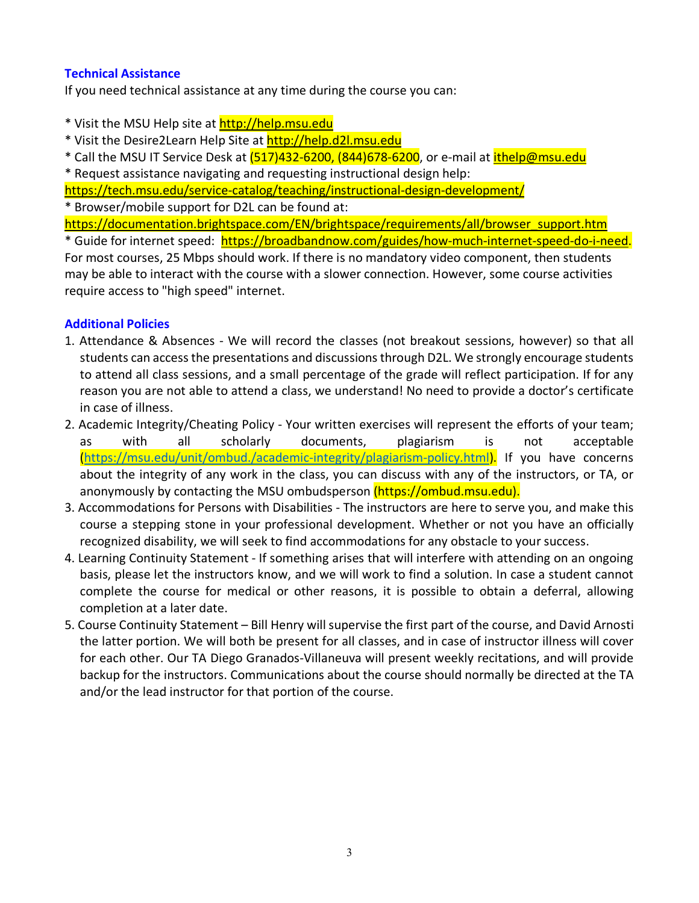## **Technical Assistance**

If you need technical assistance at any time during the course you can:

- \* Visit the MSU Help site at http://help.msu.edu
- \* Visit the Desire2Learn Help Site at http://help.d2l.msu.edu
- \* Call the MSU IT Service Desk at (517)432-6200, (844)678-6200, or e-mail at ithelp@msu.edu
- \* Request assistance navigating and requesting instructional design help:

https://tech.msu.edu/service-catalog/teaching/instructional-design-development/

\* Browser/mobile support for D2L can be found at:

https://documentation.brightspace.com/EN/brightspace/requirements/all/browser\_support.htm \* Guide for internet speed: https://broadbandnow.com/guides/how-much-internet-speed-do-i-need.

For most courses, 25 Mbps should work. If there is no mandatory video component, then students may be able to interact with the course with a slower connection. However, some course activities require access to "high speed" internet.

## **Additional Policies**

- 1. Attendance & Absences We will record the classes (not breakout sessions, however) so that all students can access the presentations and discussions through D2L. We strongly encourage students to attend all class sessions, and a small percentage of the grade will reflect participation. If for any reason you are not able to attend a class, we understand! No need to provide a doctor's certificate in case of illness.
- 2. Academic Integrity/Cheating Policy Your written exercises will represent the efforts of your team; as with all scholarly documents, plagiarism is not acceptable (https://msu.edu/unit/ombud./academic-integrity/plagiarism-policy.html). If you have concerns about the integrity of any work in the class, you can discuss with any of the instructors, or TA, or anonymously by contacting the MSU ombudsperson (https://ombud.msu.edu).
- 3. Accommodations for Persons with Disabilities The instructors are here to serve you, and make this course a stepping stone in your professional development. Whether or not you have an officially recognized disability, we will seek to find accommodations for any obstacle to your success.
- 4. Learning Continuity Statement If something arises that will interfere with attending on an ongoing basis, please let the instructors know, and we will work to find a solution. In case a student cannot complete the course for medical or other reasons, it is possible to obtain a deferral, allowing completion at a later date.
- 5. Course Continuity Statement Bill Henry will supervise the first part of the course, and David Arnosti the latter portion. We will both be present for all classes, and in case of instructor illness will cover for each other. Our TA Diego Granados-Villaneuva will present weekly recitations, and will provide backup for the instructors. Communications about the course should normally be directed at the TA and/or the lead instructor for that portion of the course.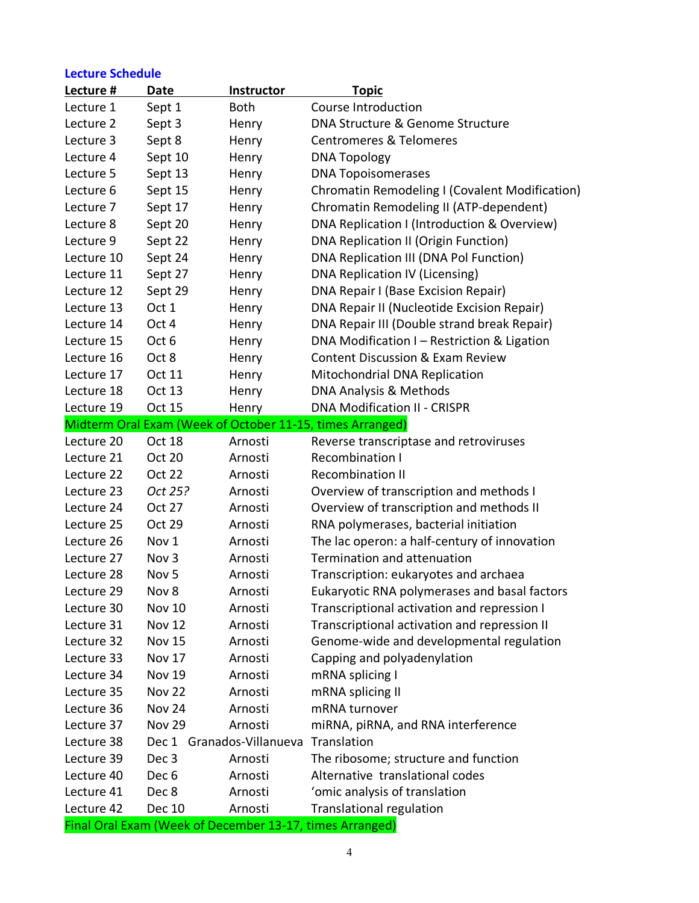# **Lecture Schedule**

| Lecture #  | <b>Date</b>      | <b>Instructor</b>         | <b>Topic</b>                                              |
|------------|------------------|---------------------------|-----------------------------------------------------------|
| Lecture 1  | Sept 1           | <b>Both</b>               | Course Introduction                                       |
| Lecture 2  | Sept 3           | Henry                     | DNA Structure & Genome Structure                          |
| Lecture 3  | Sept 8           | Henry                     | <b>Centromeres &amp; Telomeres</b>                        |
| Lecture 4  | Sept 10          | Henry                     | <b>DNA Topology</b>                                       |
| Lecture 5  | Sept 13          | Henry                     | <b>DNA Topoisomerases</b>                                 |
| Lecture 6  | Sept 15          | Henry                     | Chromatin Remodeling I (Covalent Modification)            |
| Lecture 7  | Sept 17          | Henry                     | Chromatin Remodeling II (ATP-dependent)                   |
| Lecture 8  | Sept 20          | Henry                     | DNA Replication I (Introduction & Overview)               |
| Lecture 9  | Sept 22          | Henry                     | DNA Replication II (Origin Function)                      |
| Lecture 10 | Sept 24          | Henry                     | DNA Replication III (DNA Pol Function)                    |
| Lecture 11 | Sept 27          | Henry                     | DNA Replication IV (Licensing)                            |
| Lecture 12 | Sept 29          | Henry                     | DNA Repair I (Base Excision Repair)                       |
| Lecture 13 | Oct 1            | Henry                     | DNA Repair II (Nucleotide Excision Repair)                |
| Lecture 14 | Oct 4            | Henry                     | DNA Repair III (Double strand break Repair)               |
| Lecture 15 | Oct 6            | Henry                     | DNA Modification I - Restriction & Ligation               |
| Lecture 16 | Oct 8            | Henry                     | <b>Content Discussion &amp; Exam Review</b>               |
| Lecture 17 | Oct 11           | Henry                     | Mitochondrial DNA Replication                             |
| Lecture 18 | <b>Oct 13</b>    | Henry                     | DNA Analysis & Methods                                    |
| Lecture 19 | Oct 15           | Henry                     | <b>DNA Modification II - CRISPR</b>                       |
|            |                  |                           | Midterm Oral Exam (Week of October 11-15, times Arranged) |
| Lecture 20 | <b>Oct 18</b>    | Arnosti                   | Reverse transcriptase and retroviruses                    |
| Lecture 21 | <b>Oct 20</b>    | Arnosti                   | <b>Recombination I</b>                                    |
| Lecture 22 | <b>Oct 22</b>    | Arnosti                   | <b>Recombination II</b>                                   |
| Lecture 23 | Oct 25?          | Arnosti                   | Overview of transcription and methods I                   |
| Lecture 24 | Oct 27           | Arnosti                   | Overview of transcription and methods II                  |
| Lecture 25 | Oct 29           | Arnosti                   | RNA polymerases, bacterial initiation                     |
| Lecture 26 | Nov 1            | Arnosti                   | The lac operon: a half-century of innovation              |
| Lecture 27 | Nov <sub>3</sub> | Arnosti                   | Termination and attenuation                               |
| Lecture 28 | Nov <sub>5</sub> | Arnosti                   | Transcription: eukaryotes and archaea                     |
| Lecture 29 | Nov 8            | Arnosti                   | Eukaryotic RNA polymerases and basal factors              |
| Lecture 30 | <b>Nov 10</b>    | Arnosti                   | Transcriptional activation and repression I               |
| Lecture 31 | <b>Nov 12</b>    | Arnosti                   | Transcriptional activation and repression II              |
| Lecture 32 | <b>Nov 15</b>    | Arnosti                   | Genome-wide and developmental regulation                  |
| Lecture 33 | Nov 17           | Arnosti                   | Capping and polyadenylation                               |
| Lecture 34 | <b>Nov 19</b>    | Arnosti                   | mRNA splicing I                                           |
| Lecture 35 | <b>Nov 22</b>    | Arnosti                   | mRNA splicing II                                          |
| Lecture 36 | Nov 24           | Arnosti                   | mRNA turnover                                             |
| Lecture 37 | <b>Nov 29</b>    | Arnosti                   | miRNA, piRNA, and RNA interference                        |
| Lecture 38 |                  | Dec 1 Granados-Villanueva | Translation                                               |
| Lecture 39 | Dec 3            | Arnosti                   | The ribosome; structure and function                      |
| Lecture 40 | Dec <sub>6</sub> | Arnosti                   | Alternative translational codes                           |
| Lecture 41 | Dec 8            | Arnosti                   | 'omic analysis of translation                             |
| Lecture 42 | Dec 10           | Arnosti                   | <b>Translational regulation</b>                           |
|            |                  |                           | Final Oral Exam (Week of December 13-17, times Arranged)  |